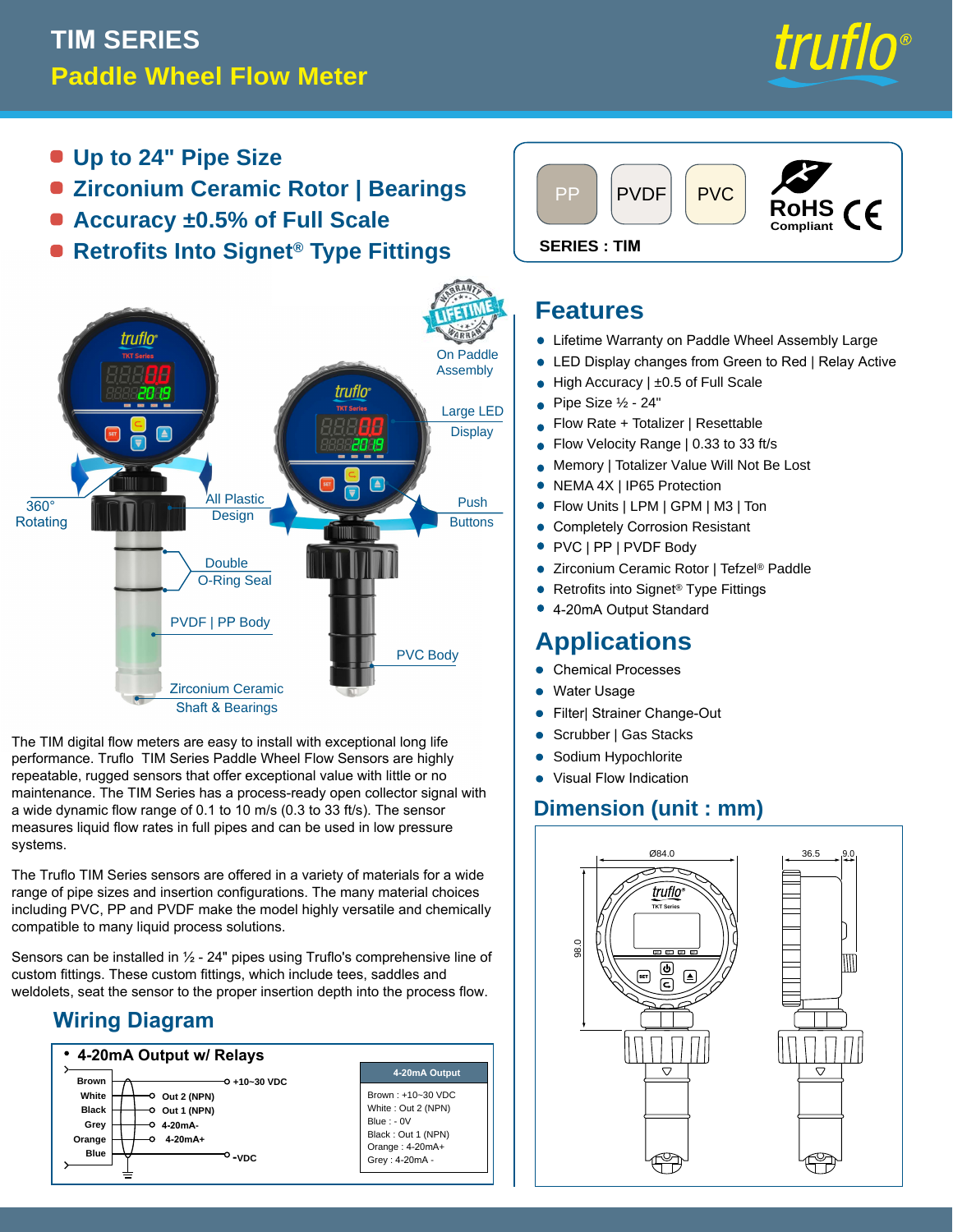# **TIM SERIES Paddle Wheel Flow Meter**



- **Up to 24" Pipe Size**
- **Zirconium Ceramic Rotor | Bearings**
- **Accuracy ±0.5% of Full Scale**
- **e** Retrofits Into Signet<sup>®</sup> Type Fittings SERIES: TIM



The TIM digital flow meters are easy to install with exceptional long life performance. Truflo TIM Series Paddle Wheel Flow Sensors are highly repeatable, rugged sensors that offer exceptional value with little or no maintenance. The TIM Series has a process-ready open collector signal with a wide dynamic flow range of 0.1 to 10 m/s (0.3 to 33 ft/s). The sensor measures liquid flow rates in full pipes and can be used in low pressure systems.

The Truflo TIM Series sensors are offered in a variety of materials for a wide range of pipe sizes and insertion configurations. The many material choices including PVC, PP and PVDF make the model highly versatile and chemically compatible to many liquid process solutions.

Sensors can be installed in ½ - 24" pipes using Truflo's comprehensive line of custom fittings. These custom fittings, which include tees, saddles and weldolets, seat the sensor to the proper insertion depth into the process flow.

### **Wiring Diagram**





#### **Features**

- **Lifetime Warranty on Paddle Wheel Assembly Large**
- LED Display changes from Green to Red | Relay Active •
- High Accuracy | ±0.5 of Full Scale •
- Pipe Size ½ 24" •
- Flow Rate + Totalizer | Resettable •
- Flow Velocity Range | 0.33 to 33 ft/s •
- Memory | Totalizer Value Will Not Be Lost •
- NEMA 4X | IP65 Protection •
- Flow Units | LPM | GPM | M3 | Ton
- Completely Corrosion Resistant •
- PVC | PP | PVDF Body
- Zirconium Ceramic Rotor | Tefzel® Paddle •
- Retrofits into Signet® Type Fittings •
- 4-20mA Output Standard •

### **Applications**

- **Chemical Processes**
- Water Usage
- Filter| Strainer Change-Out
- Scrubber | Gas Stacks •
- Sodium Hypochlorite •
- Visual Flow Indication

#### **Dimension (unit : mm)**